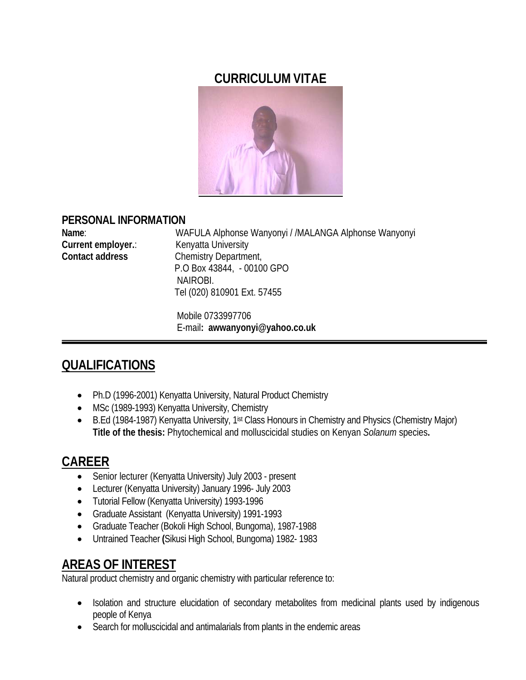### **CURRICULUM VITAE**



#### **PERSONAL INFORMATION**

| Name:                  | WAFULA Alphonse Wanyonyi / /MALANGA Alphonse Wanyonyi |
|------------------------|-------------------------------------------------------|
| Current employer.:     | Kenyatta University                                   |
| <b>Contact address</b> | Chemistry Department,                                 |
|                        | P.O Box 43844, - 00100 GPO                            |
|                        | NAIROBI.                                              |
|                        | Tel (020) 810901 Ext. 57455                           |

 Mobile 0733997706 E-mail**: awwanyonyi@yahoo.co.uk**

# **QUALIFICATIONS**

- Ph.D (1996-2001) Kenyatta University, Natural Product Chemistry
- MSc (1989-1993) Kenyatta University, Chemistry
- B.Ed (1984-1987) Kenyatta University, 1<sup>ist</sup> Class Honours in Chemistry and Physics (Chemistry Major) **Title of the thesis:** Phytochemical and molluscicidal studies on Kenyan *Solanum* species**.**

## **CAREER**

- Senior lecturer (Kenyatta University) July 2003 present
- Lecturer (Kenyatta University) January 1996- July 2003
- Tutorial Fellow (Kenyatta University) 1993-1996
- Graduate Assistant (Kenyatta University) 1991-1993
- Graduate Teacher (Bokoli High School, Bungoma), 1987-1988
- Untrained Teacher **(**Sikusi High School, Bungoma) 1982- 1983

## **AREAS OF INTEREST**

Natural product chemistry and organic chemistry with particular reference to:

- Isolation and structure elucidation of secondary metabolites from medicinal plants used by indigenous people of Kenya
- Search for molluscicidal and antimalarials from plants in the endemic areas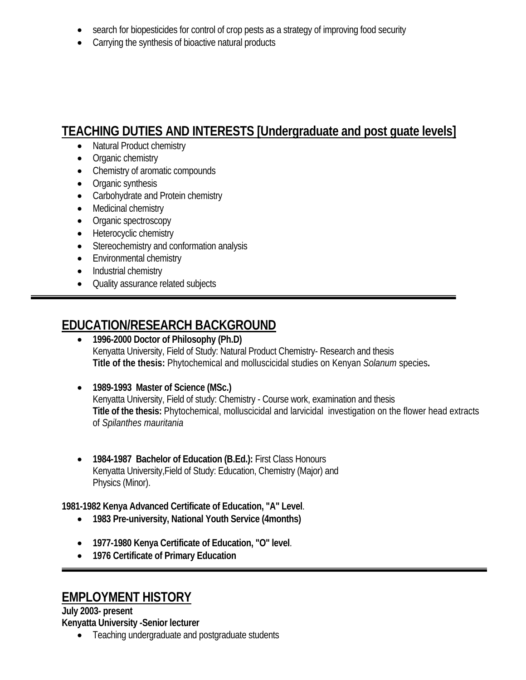- search for biopesticides for control of crop pests as a strategy of improving food security
- Carrying the synthesis of bioactive natural products

# **TEACHING DUTIES AND INTERESTS [Undergraduate and post guate levels]**

- Natural Product chemistry
- Organic chemistry
- Chemistry of aromatic compounds
- Organic synthesis
- Carbohydrate and Protein chemistry
- Medicinal chemistry
- Organic spectroscopy
- Heterocyclic chemistry
- Stereochemistry and conformation analysis
- Environmental chemistry
- Industrial chemistry

:

• Quality assurance related subjects

## **EDUCATION/RESEARCH BACKGROUND**

- **1996-2000 Doctor of Philosophy (Ph.D)** Kenyatta University, Field of Study: Natural Product Chemistry- Research and thesis **Title of the thesis:** Phytochemical and molluscicidal studies on Kenyan *Solanum* species**.**
- **1989-1993 Master of Science (MSc.)** Kenyatta University, Field of study: Chemistry - Course work, examination and thesis **Title of the thesis:** Phytochemical, molluscicidal and larvicidal investigation on the flower head extracts of *Spilanthes mauritania*
- **1984-1987 Bachelor of Education (B.Ed.):** First Class Honours Kenyatta University,Field of Study: Education, Chemistry (Major) and Physics (Minor).

**1981-1982 Kenya Advanced Certificate of Education, "A" Level**.

- **1983 Pre-university, National Youth Service (4months)**
- **1977-1980 Kenya Certificate of Education, "O" level**.
- **1976 Certificate of Primary Education**

## **EMPLOYMENT HISTORY**

**July 2003- present Kenyatta University -Senior lecturer**

• Teaching undergraduate and postgraduate students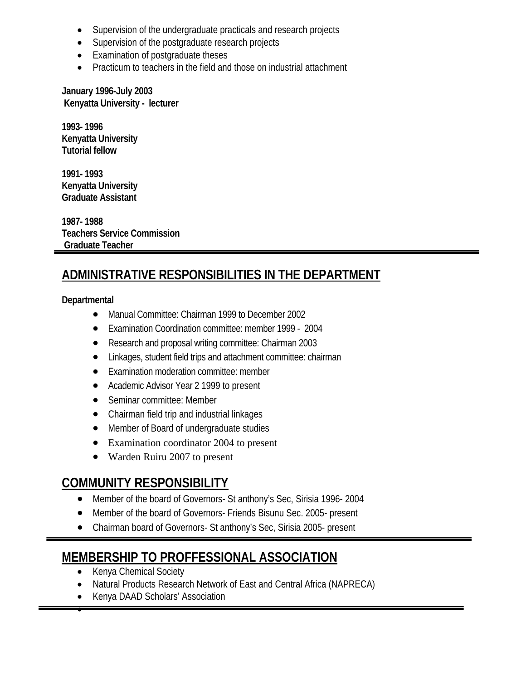- Supervision of the undergraduate practicals and research projects
- Supervision of the postgraduate research projects
- Examination of postgraduate theses
- Practicum to teachers in the field and those on industrial attachment

**January 1996-July 2003 Kenyatta University - lecturer**

**1993- 1996 Kenyatta University Tutorial fellow**

**1991- 1993 Kenyatta University Graduate Assistant**

**1987- 1988 Teachers Service Commission Graduate Teacher**

# **ADMINISTRATIVE RESPONSIBILITIES IN THE DEPARTMENT**

#### **Departmental**

- Manual Committee: Chairman 1999 to December 2002
- Examination Coordination committee: member 1999 2004
- Research and proposal writing committee: Chairman 2003
- Linkages, student field trips and attachment committee: chairman
- Examination moderation committee: member
- Academic Advisor Year 2 1999 to present
- Seminar committee: Member
- Chairman field trip and industrial linkages
- Member of Board of undergraduate studies
- Examination coordinator 2004 to present
- Warden Ruiru 2007 to present

#### **COMMUNITY RESPONSIBILITY**

- Member of the board of Governors- St anthony's Sec, Sirisia 1996- 2004
- Member of the board of Governors- Friends Bisunu Sec. 2005- present
- Chairman board of Governors- St anthony's Sec, Sirisia 2005- present

#### **MEMBERSHIP TO PROFFESSIONAL ASSOCIATION**

• Kenya Chemical Society

•

- Natural Products Research Network of East and Central Africa (NAPRECA)
- Kenya DAAD Scholars' Association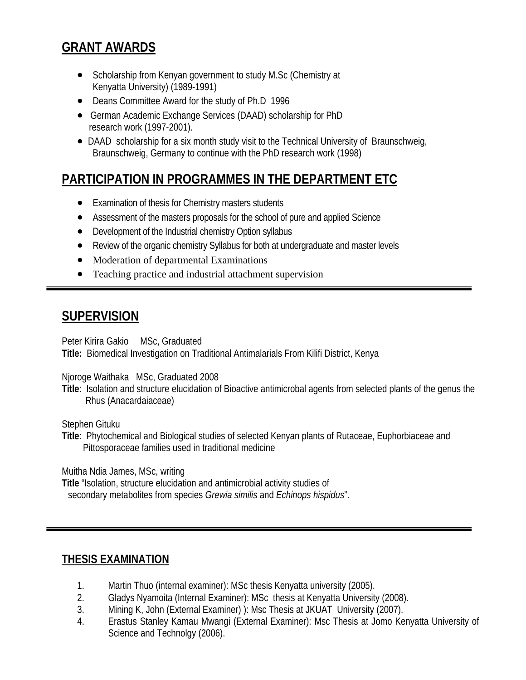## **GRANT AWARDS**

- Scholarship from Kenyan government to study M.Sc (Chemistry at Kenyatta University) (1989-1991)
- Deans Committee Award for the study of Ph.D 1996
- German Academic Exchange Services (DAAD) scholarship for PhD research work (1997-2001).
- DAAD scholarship for a six month study visit to the Technical University of Braunschweig, Braunschweig, Germany to continue with the PhD research work (1998)

# **PARTICIPATION IN PROGRAMMES IN THE DEPARTMENT ETC**

- Examination of thesis for Chemistry masters students
- Assessment of the masters proposals for the school of pure and applied Science
- Development of the Industrial chemistry Option syllabus
- Review of the organic chemistry Syllabus for both at undergraduate and master levels
- Moderation of departmental Examinations
- Teaching practice and industrial attachment supervision

#### **SUPERVISION**

Peter Kirira Gakio MSc, Graduated **Title:** Biomedical Investigation on Traditional Antimalarials From Kilifi District, Kenya

Njoroge Waithaka MSc, Graduated 2008

**Title**: Isolation and structure elucidation of Bioactive antimicrobal agents from selected plants of the genus the Rhus (Anacardaiaceae)

Stephen Gituku

**Title**: Phytochemical and Biological studies of selected Kenyan plants of Rutaceae, Euphorbiaceae and Pittosporaceae families used in traditional medicine

Muitha Ndia James, MSc, writing

**Title** "Isolation, structure elucidation and antimicrobial activity studies of secondary metabolites from species *Grewia similis* and *Echinops hispidus*".

#### **THESIS EXAMINATION**

- 1. Martin Thuo (internal examiner): MSc thesis Kenyatta university (2005).
- 2. Gladys Nyamoita (Internal Examiner): MSc thesis at Kenyatta University (2008).
- 3. Mining K, John (External Examiner) ): Msc Thesis at JKUAT University (2007).
- 4. Erastus Stanley Kamau Mwangi (External Examiner): Msc Thesis at Jomo Kenyatta University of Science and Technolgy (2006).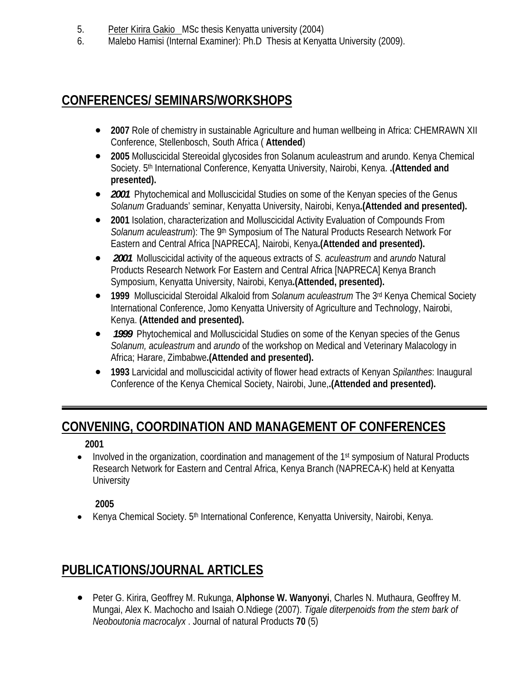- 5. Peter Kirira Gakio MSc thesis Kenyatta university (2004)
- 6. Malebo Hamisi (Internal Examiner): Ph.D Thesis at Kenyatta University (2009).

### **CONFERENCES/ SEMINARS/WORKSHOPS**

- **2007** Role of chemistry in sustainable Agriculture and human wellbeing in Africa: CHEMRAWN XII Conference, Stellenbosch, South Africa ( **Attended**)
- **2005** Molluscicidal Stereoidal glycosides fron Solanum aculeastrum and arundo. Kenya Chemical Society. 5th International Conference, Kenyatta University, Nairobi, Kenya. **.(Attended and presented).**
- 2001 Phytochemical and Molluscicidal Studies on some of the Kenyan species of the Genus *Solanum* Graduands' seminar, Kenyatta University, Nairobi, Kenya**.(Attended and presented).**
- **2001** Isolation, characterization and Molluscicidal Activity Evaluation of Compounds From *Solanum aculeastrum*): The 9<sup>th</sup> Symposium of The Natural Products Research Network For Eastern and Central Africa [NAPRECA], Nairobi, Kenya**.(Attended and presented).**
- *2001* Molluscicidal activity of the aqueous extracts of *S. aculeastrum* and *arundo* Natural Products Research Network For Eastern and Central Africa [NAPRECA] Kenya Branch Symposium, Kenyatta University, Nairobi, Kenya**.(Attended, presented).**
- **1999** Molluscicidal Steroidal Alkaloid from *Solanum aculeastrum* The 3rd Kenya Chemical Society International Conference, Jomo Kenyatta University of Agriculture and Technology, Nairobi, Kenya. **(Attended and presented).**
- *1999* Phytochemical and Molluscicidal Studies on some of the Kenyan species of the Genus *Solanum, aculeastrum* and *arundo* of the workshop on Medical and Veterinary Malacology in Africa; Harare, Zimbabwe**.(Attended and presented).**
- **1993** Larvicidal and molluscicidal activity of flower head extracts of Kenyan *Spilanthes*: Inaugural Conference of the Kenya Chemical Society, Nairobi, June,**.(Attended and presented).**

# **CONVENING, COORDINATION AND MANAGEMENT OF CONFERENCES**

**2001** 

• Involved in the organization, coordination and management of the  $1<sup>st</sup>$  symposium of Natural Products Research Network for Eastern and Central Africa, Kenya Branch (NAPRECA-K) held at Kenyatta **University** 

**2005** 

• Kenya Chemical Society. 5<sup>th</sup> International Conference, Kenyatta University, Nairobi, Kenya.

# **PUBLICATIONS/JOURNAL ARTICLES**

• Peter G. Kirira, Geoffrey M. Rukunga, **Alphonse W. Wanyonyi**, Charles N. Muthaura, Geoffrey M. Mungai, Alex K. Machocho and Isaiah O.Ndiege (2007). *Tigale diterpenoids from the stem bark of Neoboutonia macrocalyx* . Journal of natural Products **70** (5)